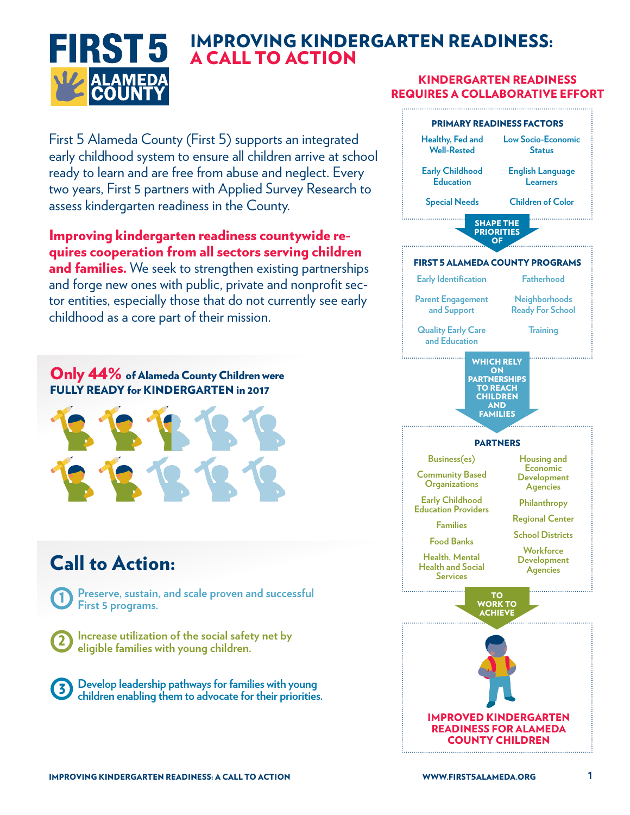

## IMPROVING KINDERGARTEN READINESS: A CALL TO ACTION

#### KINDERGARTEN READINESS REQUIRES A COLLABORATIVE EFFORT

First 5 Alameda County (First 5) supports an integrated early childhood system to ensure all children arrive at school ready to learn and are free from abuse and neglect. Every two years, First 5 partners with Applied Survey Research to assess kindergarten readiness in the County.

### Improving kindergarten readiness countywide requires cooperation from all sectors serving children

and families. We seek to strengthen existing partnerships and forge new ones with public, private and nonprofit sector entities, especially those that do not currently see early childhood as a core part of their mission.

Only 44% of Alameda County Children were FULLY READY for KINDERGARTEN in 2017



# Call to Action:





**Develop leadership pathways for families with young children enabling them to advocate for their priorities.** 3

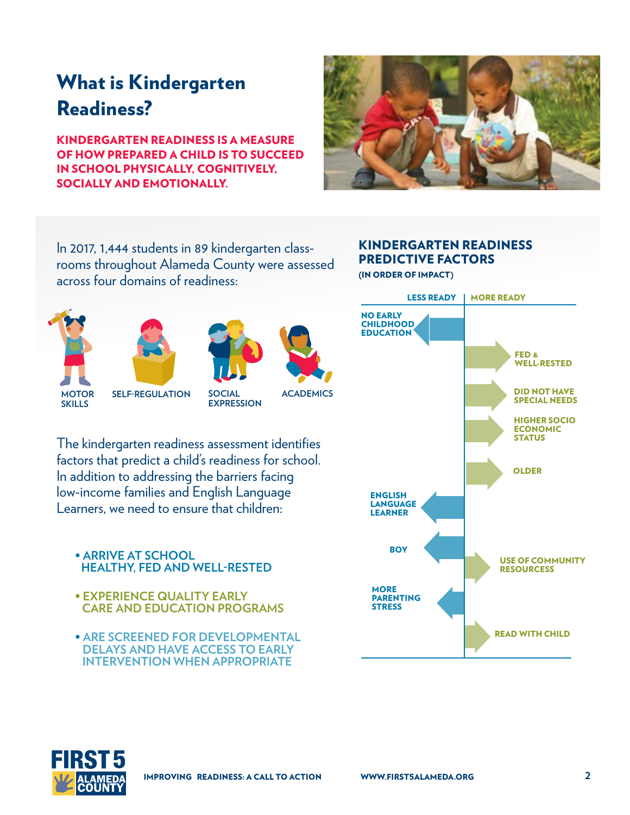# What is Kindergarten Readiness?

KINDERGARTEN READINESS IS A MEASURE OF HOW PREPARED A CHILD IS TO SUCCEED IN SCHOOL PHYSICALLY, COGNITIVELY, SOCIALLY AND EMOTIONALLY.



In 2017, 1,444 students in 89 kindergarten classrooms throughout Alameda County were assessed across four domains of readiness:



**SKILLS**







**SELF-REGULATION SOCIAL MOTOR ACADEMICS**

**EXPRESSION**

The kindergarten readiness assessment identifies factors that predict a child's readiness for school. In addition to addressing the barriers facing low-income families and English Language

**• ARRIVE AT SCHOOL HEALTHY, FED AND WELL-RESTED**

Learners, we need to ensure that children:

- **EXPERIENCE QUALITY EARLY CARE AND EDUCATION PROGRAMS**
- **ARE SCREENED FOR DEVELOPMENTAL DELAYS AND HAVE ACCESS TO EARLY INTERVENTION WHEN APPROPRIATE**

# KINDERGARTEN READINESS PREDICTIVE FACTORS

(IN ORDER OF IMPACT)



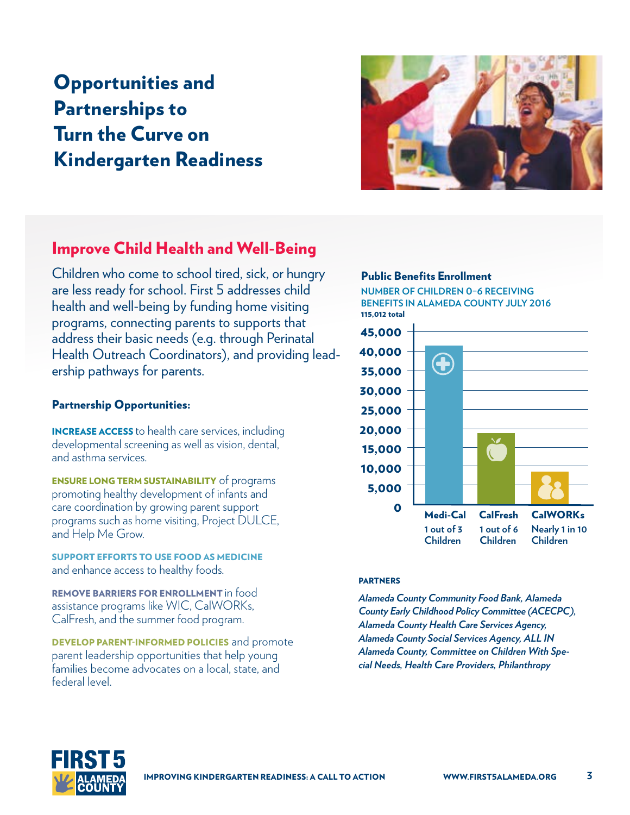# Opportunities and Partnerships to Turn the Curve on Kindergarten Readiness



### Improve Child Health and Well-Being

Children who come to school tired, sick, or hungry are less ready for school. First 5 addresses child health and well-being by funding home visiting programs, connecting parents to supports that address their basic needs (e.g. through Perinatal Health Outreach Coordinators), and providing leadership pathways for parents.

#### Partnership Opportunities:

INCREASE ACCESS to health care services, including developmental screening as well as vision, dental, and asthma services.

**ENSURE LONG TERM SUSTAINABILITY** of programs promoting healthy development of infants and care coordination by growing parent support programs such as home visiting, Project DULCE, and Help Me Grow.

SUPPORT EFFORTS TO USE FOOD AS MEDICINE and enhance access to healthy foods.

REMOVE BARRIERS FOR ENROLLMENT in food assistance programs like WIC, CalWORKs, CalFresh, and the summer food program.

DEVELOP PARENT-INFORMED POLICIES and promote parent leadership opportunities that help young families become advocates on a local, state, and federal level.

#### Public Benefits Enrollment

**NUMBER OF CHILDREN 0–6 RECEIVING BENEFITS IN ALAMEDA COUNTY JULY 2016** 115,012 total



#### PARTNERS

*Alameda County Community Food Bank, Alameda County Early Childhood Policy Committee (ACECPC), Alameda County Health Care Services Agency, Alameda County Social Services Agency, ALL IN Alameda County, Committee on Children With Special Needs, Health Care Providers, Philanthropy*

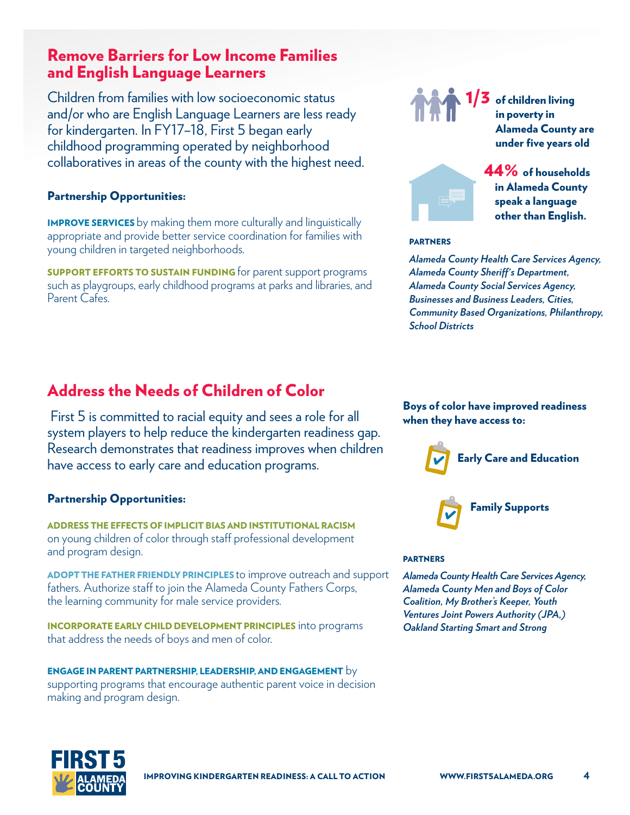### Remove Barriers for Low Income Families and English Language Learners

Children from families with low socioeconomic status and/or who are English Language Learners are less ready for kindergarten. In FY17–18, First 5 began early childhood programming operated by neighborhood collaboratives in areas of the county with the highest need.

#### Partnership Opportunities:

IMPROVE SERVICES by making them more culturally and linguistically appropriate and provide better service coordination for families with young children in targeted neighborhoods.

**SUPPORT EFFORTS TO SUSTAIN FUNDING** for parent support programs such as playgroups, early childhood programs at parks and libraries, and Parent Cafes.

### Address the Needs of Children of Color

 First 5 is committed to racial equity and sees a role for all system players to help reduce the kindergarten readiness gap. Research demonstrates that readiness improves when children have access to early care and education programs.

#### Partnership Opportunities:

ADDRESS THE EFFECTS OF IMPLICIT BIAS AND INSTITUTIONAL RACISM on young children of color through staff professional development and program design.

ADOPT THE FATHER FRIENDLY PRINCIPLES to improve outreach and support fathers. Authorize staff to join the Alameda County Fathers Corps, the learning community for male service providers.

INCORPORATE EARLY CHILD DEVELOPMENT PRINCIPLES into programs that address the needs of boys and men of color.

ENGAGE IN PARENT PARTNERSHIP, LEADERSHIP, AND ENGAGEMENT by supporting programs that encourage authentic parent voice in decision making and program design.



 $1/3\,$  of children living in poverty in Alameda County are under five years old



 44% of households in Alameda County speak a language other than English.

#### PARTNERS

*Alameda County Health Care Services Agency, Alameda County Sheriff's Department, Alameda County Social Services Agency, Businesses and Business Leaders, Cities, Community Based Organizations, Philanthropy, School Districts*

#### Boys of color have improved readiness when they have access to:



#### PARTNERS

*Alameda County Health Care Services Agency, Alameda County Men and Boys of Color Coalition, My Brother's Keeper, Youth Ventures Joint Powers Authority (JPA,) Oakland Starting Smart and Strong*